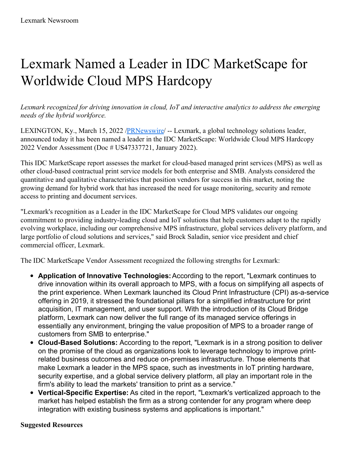## Lexmark Named a Leader in IDC MarketScape for Worldwide Cloud MPS Hardcopy

*Lexmark recognized for driving innovation in cloud, IoT and interactive analytics to address the emerging needs of the hybrid workforce.*

LEXINGTON, Ky., March 15, 2022 /**PRNewswire/** -- Lexmark, a global technology solutions leader, announced today it has been named a leader in the IDC MarketScape: Worldwide Cloud MPS Hardcopy 2022 Vendor Assessment (Doc # US47337721, January 2022).

This IDC MarketScape report assesses the market for cloud-based managed print services (MPS) as well as other cloud-based contractual print service models for both enterprise and SMB. Analysts considered the quantitative and qualitative characteristics that position vendors for success in this market, noting the growing demand for hybrid work that has increased the need for usage monitoring, security and remote access to printing and document services.

"Lexmark's recognition as a Leader in the IDC MarketScape for Cloud MPS validates our ongoing commitment to providing industry-leading cloud and IoT solutions that help customers adapt to the rapidly evolving workplace, including our comprehensive MPS infrastructure, global services delivery platform, and large portfolio of cloud solutions and services," said Brock Saladin, senior vice president and chief commercial officer, Lexmark.

The IDC MarketScape Vendor Assessment recognized the following strengths for Lexmark:

- **Application of Innovative Technologies:**According to the report, "Lexmark continues to drive innovation within its overall approach to MPS, with a focus on simplifying all aspects of the print experience. When Lexmark launched its Cloud Print Infrastructure (CPI) as-a-service offering in 2019, it stressed the foundational pillars for a simplified infrastructure for print acquisition, IT management, and user support. With the introduction of its Cloud Bridge platform, Lexmark can now deliver the full range of its managed service offerings in essentially any environment, bringing the value proposition of MPS to a broader range of customers from SMB to enterprise."
- **Cloud-Based Solutions:** According to the report, "Lexmark is in a strong position to deliver on the promise of the cloud as organizations look to leverage technology to improve printrelated business outcomes and reduce on-premises infrastructure. Those elements that make Lexmark a leader in the MPS space, such as investments in IoT printing hardware, security expertise, and a global service delivery platform, all play an important role in the firm's ability to lead the markets' transition to print as a service."
- **Vertical-Specific Expertise:** As cited in the report, "Lexmark's verticalized approach to the market has helped establish the firm as a strong contender for any program where deep integration with existing business systems and applications is important."